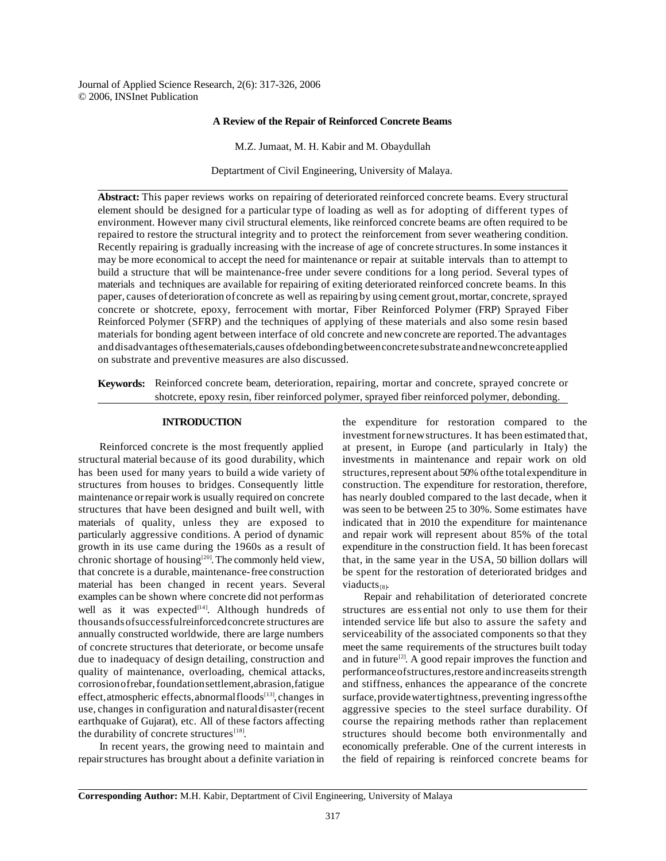Journal of Applied Science Research, 2(6): 317-326, 2006 © 2006, INSInet Publication

## **A Review of the Repair of Reinforced Concrete Beams**

M.Z. Jumaat, M. H. Kabir and M. Obaydullah

Deptartment of Civil Engineering, University of Malaya.

**Abstract:** This paper reviews works on repairing of deteriorated reinforced concrete beams. Every structural element should be designed for a particular type of loading as well as for adopting of different types of environment. However many civil structural elements, like reinforced concrete beams are often required to be repaired to restore the structural integrity and to protect the reinforcement from sever weathering condition. Recently repairing is gradually increasing with the increase of age of concrete structures. In some instances it may be more economical to accept the need for maintenance or repair at suitable intervals than to attempt to build a structure that will be maintenance-free under severe conditions for a long period. Several types of materials and techniques are available for repairing of exiting deteriorated reinforced concrete beams. In this paper, causes of deterioration of concrete as well as repairing by using cement grout, mortar, concrete, sprayed concrete or shotcrete, epoxy, ferrocement with mortar, Fiber Reinforced Polymer (FRP) Sprayed Fiber Reinforced Polymer (SFRP) and the techniques of applying of these materials and also some resin based materials for bonding agent between interface of old concrete and newconcrete are reported.The advantages anddisadvantages ofthesematerials,causes ofdebondingbetweenconcretesubstrateandnewconcreteapplied on substrate and preventive measures are also discussed.

**Keywords:** Reinforced concrete beam, deterioration, repairing, mortar and concrete, sprayed concrete or shotcrete, epoxy resin, fiber reinforced polymer, sprayed fiber reinforced polymer, debonding.

## **INTRODUCTION**

Reinforced concrete is the most frequently applied structural material because of its good durability, which has been used for many years to build a wide variety of structures from houses to bridges. Consequently little maintenance orrepair work is usually required on concrete structures that have been designed and built well, with materials of quality, unless they are exposed to particularly aggressive conditions. A period of dynamic growth in its use came during the 1960s as a result of chronic shortage of housing<sup>[20]</sup>. The commonly held view, that concrete is a durable, maintenance-free construction material has been changed in recent years. Several examples can be shown where concrete did not performas well as it was expected<sup>[14]</sup>. Although hundreds of thousandsofsuccessfulreinforcedconcrete structures are annually constructed worldwide, there are large numbers of concrete structures that deteriorate, or become unsafe due to inadequacy of design detailing, construction and quality of maintenance, overloading, chemical attacks, corrosion of rebar, foundation settlement, abrasion, fatigue effect, atmospheric effects, abnormal floods<sup>[13]</sup>, changes in use, changes in configuration and naturaldisaster(recent earthquake of Gujarat), etc. All of these factors affecting the durability of concrete structures<sup>[18]</sup>.

In recent years, the growing need to maintain and repair structures has brought about a definite variation in the expenditure for restoration compared to the investment fornewstructures. It has been estimated that, at present, in Europe (and particularly in Italy) the investments in maintenance and repair work on old structures, represent about 50% of the total expenditure in construction. The expenditure for restoration, therefore, has nearly doubled compared to the last decade, when it was seen to be between 25 to 30%. Some estimates have indicated that in 2010 the expenditure for maintenance and repair work will represent about 85% of the total expenditure in the construction field. It has been forecast that, in the same year in the USA, 50 billion dollars will be spent for the restoration of deteriorated bridges and viaducts $_{[8]}$ .

Repair and rehabilitation of deteriorated concrete structures are ess ential not only to use them for their intended service life but also to assure the safety and serviceability of the associated components so that they meet the same requirements of the structures built today and in future<sup>[2]</sup>. A good repair improves the function and performance of structures, restore and increase its strength and stiffness, enhances the appearance of the concrete surface,providewatertightness,preventing ingressofthe aggressive species to the steel surface durability. Of course the repairing methods rather than replacement structures should become both environmentally and economically preferable. One of the current interests in the field of repairing is reinforced concrete beams for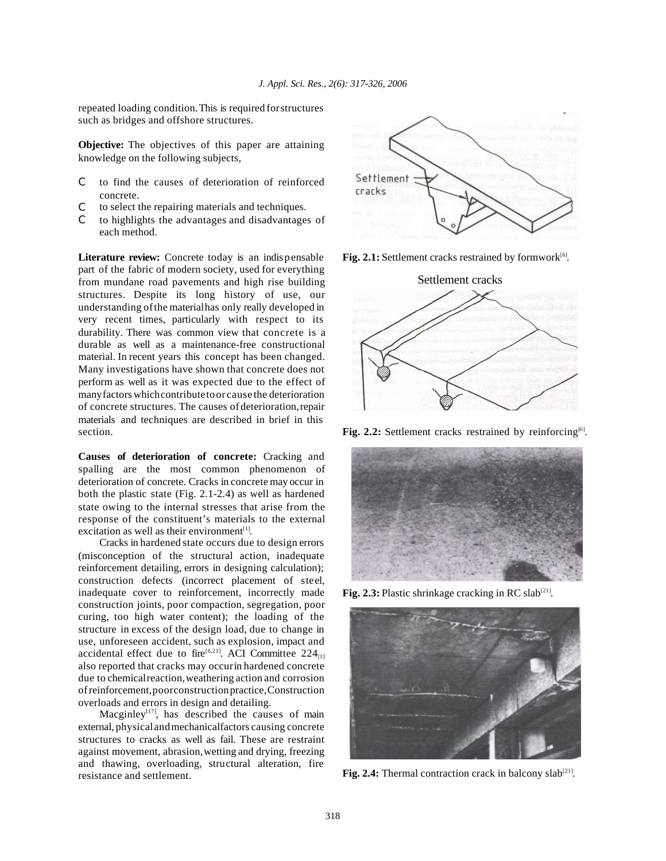repeated loading condition.This is required forstructures such as bridges and offshore structures.

**Objective:** The objectives of this paper are attaining knowledge on the following subjects,

- C to find the causes of deterioration of reinforced concrete.
- C to select the repairing materials and techniques.
- C to highlights the advantages and disadvantages of each method.

**Literature review:** Concrete today is an indis pensable part of the fabric of modern society, used for everything from mundane road pavements and high rise building structures. Despite its long history of use, our understanding ofthe materialhas only really developed in very recent times, particularly with respect to its durability. There was common view that concrete is a durable as well as a maintenance-free constructional material. In recent years this concept has been changed. Many investigations have shown that concrete does not perform as well as it was expected due to the effect of manyfactors whichcontributetoor cause the deterioration of concrete structures. The causes ofdeterioration,repair materials and techniques are described in brief in this section.

**Causes of deterioration of concrete:** Cracking and spalling are the most common phenomenon of deterioration of concrete. Cracks in concrete may occur in both the plastic state (Fig. 2.1-2.4) as well as hardened state owing to the internal stresses that arise from the response of the constituent's materials to the external excitation as well as their environment<sup>[1]</sup>.

Cracks in hardened state occurs due to design errors (misconception of the structural action, inadequate reinforcement detailing, errors in designing calculation); construction defects (incorrect placement of steel, inadequate cover to reinforcement, incorrectly made construction joints, poor compaction, segregation, poor curing, too high water content); the loading of the structure in excess of the design load, due to change in use, unforeseen accident, such as explosion, impact and accidental effect due to fire<sup>[6,21]</sup>. ACI Committee 224<sub>[1]</sub> also reported that cracks may occurin hardened concrete due to chemicalreaction,weathering action and corrosion ofreinforcement,poorconstructionpractice,Construction overloads and errors in design and detailing.

Macginley<sup>[17]</sup>, has described the causes of main external, physicalandmechanicalfactors causing concrete structures to cracks as well as fail. These are restraint against movement, abrasion,wetting and drying, freezing and thawing, overloading, structural alteration, fire resistance and settlement.



Fig. 2.1: Settlement cracks restrained by formwork<sup>[6]</sup>.



Fig. 2.2: Settlement cracks restrained by reinforcing<sup>[6]</sup>.



Fig. 2.3: Plastic shrinkage cracking in RC slab<sup>[21]</sup>.



Fig.  $2.4$ : Thermal contraction crack in balcony slab<sup>[21]</sup>.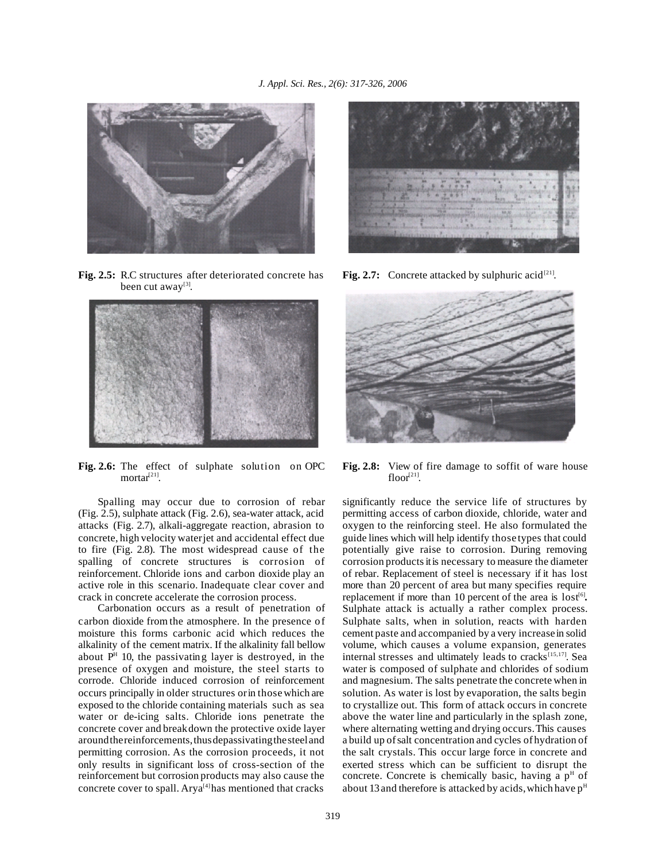

**Fig. 2.5:** R.C structures after deteriorated concrete has been cut away<sup>[3]</sup>.



**Fig. 2.6:** The effect of sulphate solution on OPC  $mortar<sup>[21]</sup>$ .

Spalling may occur due to corrosion of rebar (Fig. 2.5), sulphate attack (Fig. 2.6), sea-water attack, acid attacks (Fig. 2.7), alkali-aggregate reaction, abrasion to concrete, high velocity waterjet and accidental effect due to fire (Fig. 2.8). The most widespread cause of the spalling of concrete structures is corrosion of reinforcement. Chloride ions and carbon dioxide play an active role in this scenario. Inadequate clear cover and crack in concrete accelerate the corrosion process.

Carbonation occurs as a result of penetration of carbon dioxide from the atmosphere. In the presence of moisture this forms carbonic acid which reduces the alkalinity of the cement matrix. If the alkalinity fall bellow about  $P<sup>H</sup>$  10, the passivating layer is destroyed, in the presence of oxygen and moisture, the steel starts to corrode. Chloride induced corrosion of reinforcement occurs principally in older structures orin thosewhich are exposed to the chloride containing materials such as sea water or de-icing salts. Chloride ions penetrate the concrete cover and breakdown the protective oxide layer around the reinforcements, thus depassivating the steel and permitting corrosion. As the corrosion proceeds, it not only results in significant loss of cross-section of the reinforcement but corrosion products may also cause the concrete cover to spall. Arya<sup>[4]</sup>has mentioned that cracks



**Fig. 2.7:** Concrete attacked by sulphuric acid<sup>[21]</sup>.



**Fig. 2.8:** View of fire damage to soffit of ware house floor $^{[21]}$ .

significantly reduce the service life of structures by permitting access of carbon dioxide, chloride, water and oxygen to the reinforcing steel. He also formulated the guide lines which will help identify those types that could potentially give raise to corrosion. During removing corrosion products it is necessary to measure the diameter of rebar. Replacement of steel is necessary if it has lost more than 20 percent of area but many specifies require replacement if more than 10 percent of the area is lost<sup>[6]</sup>. Sulphate attack is actually a rather complex process. Sulphate salts, when in solution, reacts with harden cement paste and accompanied by a very increasein solid volume, which causes a volume expansion, generates internal stresses and ultimately leads to cracks<sup>[15,17]</sup>. Sea water is composed of sulphate and chlorides of sodium and magnesium. The salts penetrate the concrete when in solution. As water is lost by evaporation, the salts begin to crystallize out. This form of attack occurs in concrete above the water line and particularly in the splash zone, where alternating wetting and drying occurs.This causes a build up ofsalt concentration and cycles ofhydration of the salt crystals. This occur large force in concrete and exerted stress which can be sufficient to disrupt the concrete. Concrete is chemically basic, having a  $p<sup>H</sup>$  of about 13 and therefore is attacked by acids, which have  $p<sup>H</sup>$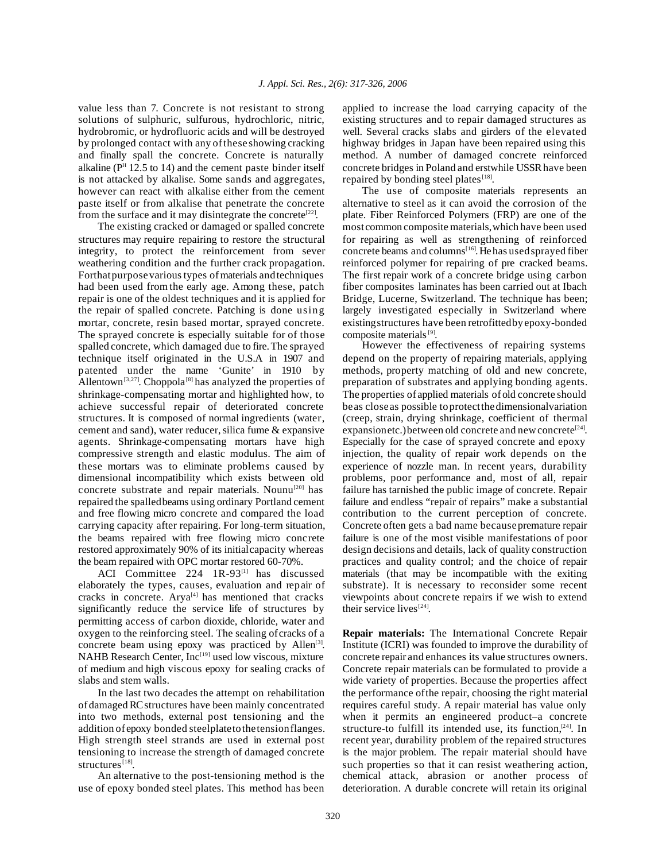value less than 7. Concrete is not resistant to strong solutions of sulphuric, sulfurous, hydrochloric, nitric, hydrobromic, or hydrofluoric acids and will be destroyed by prolonged contact with any ofthese showing cracking and finally spall the concrete. Concrete is naturally alkaline ( $P<sup>H</sup>$  12.5 to 14) and the cement paste binder itself is not attacked by alkalise. Some sands and aggregates, however can react with alkalise either from the cement paste itself or from alkalise that penetrate the concrete from the surface and it may disintegrate the concrete<sup>[22]</sup>.

The existing cracked or damaged or spalled concrete structures may require repairing to restore the structural integrity, to protect the reinforcement from sever weathering condition and the further crack propagation. Forthat purpose various types of materials and techniques had been used from the early age. Among these, patch repair is one of the oldest techniques and it is applied for the repair of spalled concrete. Patching is done using mortar, concrete, resin based mortar, sprayed concrete. The sprayed concrete is especially suitable for of those spalled concrete, which damaged due to fire.The sprayed technique itself originated in the U.S.A in 1907 and patented under the name 'Gunite' in 1910 by Allentown<sup>[3,27]</sup>. Choppola<sup>[8]</sup> has analyzed the properties of shrinkage-compensating mortar and highlighted how, to achieve successful repair of deteriorated concrete structures. It is composed of normal ingredients (water, cement and sand), water reducer, silica fume  $&$  expansive agents. Shrinkage-compensating mortars have high compressive strength and elastic modulus. The aim of these mortars was to eliminate problems caused by dimensional incompatibility which exists between old concrete substrate and repair materials. Nounu<sup>[20]</sup> has repaired the spalledbeams using ordinary Portland cement and free flowing micro concrete and compared the load carrying capacity after repairing. For long-term situation, the beams repaired with free flowing micro concrete restored approximately 90% of its initialcapacity whereas the beam repaired with OPC mortar restored 60-70%.

ACI Committee 224 1R-93<sup>[1]</sup> has discussed elaborately the types, causes, evaluation and repair of cracks in concrete. Arya<sup>[4]</sup> has mentioned that cracks significantly reduce the service life of structures by permitting access of carbon dioxide, chloride, water and oxygen to the reinforcing steel. The sealing of cracks of a concrete beam using epoxy was practiced by Allen<sup>[3]</sup>. NAHB Research Center,  $Inc^{[19]}$  used low viscous, mixture of medium and high viscous epoxy for sealing cracks of slabs and stem walls.

In the last two decades the attempt on rehabilitation ofdamagedRCstructures have been mainly concentrated into two methods, external post tensioning and the addition of epoxy bonded steelplatetothetensionflanges. High strength steel strands are used in external post tensioning to increase the strength of damaged concrete structures<sup>[18]</sup>.

An alternative to the post-tensioning method is the use of epoxy bonded steel plates. This method has been applied to increase the load carrying capacity of the existing structures and to repair damaged structures as well. Several cracks slabs and girders of the elevated highway bridges in Japan have been repaired using this method. A number of damaged concrete reinforced concrete bridges in Poland and erstwhile USSRhave been repaired by bonding steel plates<sup>[18]</sup>.

The use of composite materials represents an alternative to steel as it can avoid the corrosion of the plate. Fiber Reinforced Polymers (FRP) are one of the mostcommon composite materials,which have been used for repairing as well as strengthening of reinforced concrete beams and columns<sup>[16]</sup>. He has used sprayed fiber reinforced polymer for repairing of pre cracked beams. The first repair work of a concrete bridge using carbon fiber composites laminates has been carried out at Ibach Bridge, Lucerne, Switzerland. The technique has been; largely investigated especially in Switzerland where existingstructures have been retrofittedbyepoxy-bonded composite materials<sup>[9]</sup>.

However the effectiveness of repairing systems depend on the property of repairing materials, applying methods, property matching of old and new concrete, preparation of substrates and applying bonding agents. The properties of applied materials ofold concrete should beas close as possible toprotectthedimensionalvariation (creep, strain, drying shrinkage, coefficient of thermal expansionetc.) between old concrete and new concrete<sup>[24]</sup>. Especially for the case of sprayed concrete and epoxy injection, the quality of repair work depends on the experience of nozzle man. In recent years, durability problems, poor performance and, most of all, repair failure has tarnished the public image of concrete. Repair failure and endless "repair of repairs" make a substantial contribution to the current perception of concrete. Concrete often gets a bad name because premature repair failure is one of the most visible manifestations of poor design decisions and details, lack of quality construction practices and quality control; and the choice of repair materials (that may be incompatible with the exiting substrate). It is necessary to reconsider some recent viewpoints about concrete repairs if we wish to extend their service lives $^{[24]}$ .

**Repair materials:** The International Concrete Repair Institute (ICRI) was founded to improve the durability of concrete repair and enhances its value structures owners. Concrete repair materials can be formulated to provide a wide variety of properties. Because the properties affect the performance ofthe repair, choosing the right material requires careful study. A repair material has value only when it permits an engineered product–a concrete structure-to fulfill its intended use, its function, $[24]$ . In recent year, durability problem of the repaired structures is the major problem. The repair material should have such properties so that it can resist weathering action, chemical attack, abrasion or another process of deterioration. A durable concrete will retain its original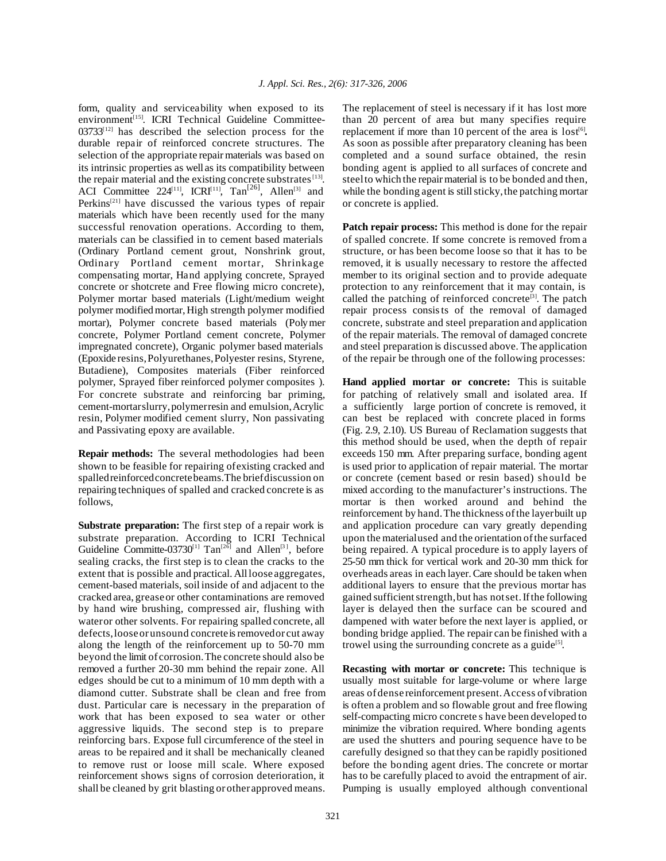form, quality and serviceability when exposed to its environment<sup>[15]</sup>. ICRI Technical Guideline Committee- $03733^{[12]}$  has described the selection process for the durable repair of reinforced concrete structures. The selection of the appropriate repair materials was based on its intrinsic properties as well as its compatibility between the repair material and the existing concrete substrates<sup>[13]</sup>. ACI Committee 224<sup>[11]</sup>, ICRI<sup>[11]</sup>, Tan<sup>[26]</sup>, Allen<sup>[3]</sup> and Perkins<sup>[21]</sup> have discussed the various types of repair materials which have been recently used for the many successful renovation operations. According to them, materials can be classified in to cement based materials (Ordinary Portland cement grout, Nonshrink grout, Ordinary Portland cement mortar, Shrinkage compensating mortar, Hand applying concrete, Sprayed concrete or shotcrete and Free flowing micro concrete), Polymer mortar based materials (Light/medium weight polymer modified mortar, High strength polymer modified mortar), Polymer concrete based materials (Polymer concrete, Polymer Portland cement concrete, Polymer impregnated concrete), Organic polymer based materials (Epoxide resins,Polyurethanes,Polyester resins, Styrene, Butadiene), Composites materials (Fiber reinforced polymer, Sprayed fiber reinforced polymer composites ). For concrete substrate and reinforcing bar priming, cement-mortarslurry,polymerresin and emulsion,Acrylic resin, Polymer modified cement slurry, Non passivating and Passivating epoxy are available.

**Repair methods:** The several methodologies had been shown to be feasible for repairing ofexisting cracked and spalledreinforcedconcretebeams.The briefdiscussion on repairing techniques of spalled and cracked concrete is as follows,

**Substrate preparation:** The first step of a repair work is substrate preparation. According to ICRI Technical Guideline Committe-03730<sup>[1]</sup> Tan<sup>[26]</sup> and Allen<sup>[3]</sup>, before sealing cracks, the first step is to clean the cracks to the extent that is possible and practical. Allloose aggregates, cement-based materials, soil inside of and adjacent to the cracked area, greaseor other contaminations are removed by hand wire brushing, compressed air, flushing with wateror other solvents. For repairing spalled concrete, all defects, loose or unsound concrete is removed or cut away along the length of the reinforcement up to 50-70 mm beyond the limit of corrosion.The concrete should also be removed a further 20-30 mm behind the repair zone. All edges should be cut to a minimum of 10 mm depth with a diamond cutter. Substrate shall be clean and free from dust. Particular care is necessary in the preparation of work that has been exposed to sea water or other aggressive liquids. The second step is to prepare reinforcing bars. Expose full circumference of the steel in areas to be repaired and it shall be mechanically cleaned to remove rust or loose mill scale. Where exposed reinforcement shows signs of corrosion deterioration, it shall be cleaned by grit blasting orother approved means.

The replacement of steel is necessary if it has lost more than 20 percent of area but many specifies require replacement if more than 10 percent of the area is lost<sup>[6]</sup>. As soon as possible after preparatory cleaning has been completed and a sound surface obtained, the resin bonding agent is applied to all surfaces of concrete and steel to which the repair material is to be bonded and then, while the bonding agent is still sticky, the patching mortar or concrete is applied.

**Patch repair process:** This method is done for the repair of spalled concrete. If some concrete is removed from a structure, or has been become loose so that it has to be removed, it is usually necessary to restore the affected member to its original section and to provide adequate protection to any reinforcement that it may contain, is called the patching of reinforced concrete<sup>[3]</sup>. The patch repair process consists of the removal of damaged concrete, substrate and steel preparation and application of the repair materials. The removal of damaged concrete and steel preparation is discussed above. The application of the repair be through one of the following processes:

**Hand applied mortar or concrete:** This is suitable for patching of relatively small and isolated area. If a sufficiently large portion of concrete is removed, it can best be replaced with concrete placed in forms (Fig. 2.9, 2.10). US Bureau of Reclamation suggests that this method should be used, when the depth of repair exceeds 150 mm. After preparing surface, bonding agent is used prior to application of repair material. The mortar or concrete (cement based or resin based) should be mixed according to the manufacturer's instructions. The mortar is then worked around and behind the reinforcement by hand.The thickness ofthe layerbuilt up and application procedure can vary greatly depending upon the materialused and the orientation of the surfaced being repaired. A typical procedure is to apply layers of 25-50 mm thick for vertical work and 20-30 mm thick for overheads areas in each layer.Care should be taken when additional layers to ensure that the previous mortar has gained sufficientstrength,but has notset.Ifthe following layer is delayed then the surface can be scoured and dampened with water before the next layer is applied, or bonding bridge applied. The repair can be finished with a trowel using the surrounding concrete as a guide<sup>[5]</sup>.

**Recasting with mortar or concrete:** This technique is usually most suitable for large-volume or where large areas ofdense reinforcement present.Access ofvibration is often a problem and so flowable grout and free flowing self-compacting micro concrete s have been developed to minimize the vibration required. Where bonding agents are used the shutters and pouring sequence have to be carefully designed so that they can be rapidly positioned before the bonding agent dries. The concrete or mortar has to be carefully placed to avoid the entrapment of air. Pumping is usually employed although conventional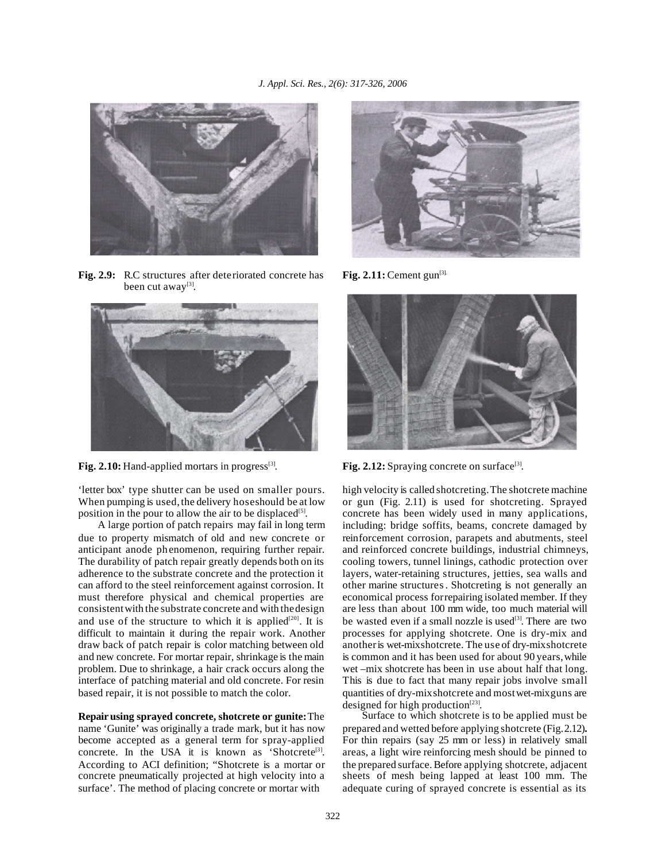

**Fig. 2.9:** R.C structures after deteriorated concrete has been cut away<sup>[3]</sup>.



Fig. 2.10: Hand-applied mortars in progress<sup>[3]</sup>.

'letter box' type shutter can be used on smaller pours. When pumping is used, the delivery hoseshould be at low position in the pour to allow the air to be displaced<sup>[5]</sup>.

A large portion of patch repairs may fail in long term due to property mismatch of old and new concrete or anticipant anode phenomenon, requiring further repair. The durability of patch repair greatly depends both on its adherence to the substrate concrete and the protection it can afford to the steel reinforcement against corrosion. It must therefore physical and chemical properties are consistentwith the substrate concrete and with thedesign and use of the structure to which it is applied<sup>[20]</sup>. It is difficult to maintain it during the repair work. Another draw back of patch repair is color matching between old and new concrete. For mortar repair, shrinkage is the main problem. Due to shrinkage, a hair crack occurs along the interface of patching material and old concrete. For resin based repair, it is not possible to match the color.

**Repairusing sprayed concrete, shotcrete or gunite:**The name 'Gunite' was originally a trade mark, but it has now become accepted as a general term for spray-applied concrete. In the USA it is known as 'Shotcrete<sup>[3]</sup>. According to ACI definition; "Shotcrete is a mortar or concrete pneumatically projected at high velocity into a surface'. The method of placing concrete or mortar with



Fig.  $2.11$ : Cement gun<sup>[3].</sup>



Fig. 2.12: Spraying concrete on surface<sup>[3]</sup>.

high velocity is called shotcreting.The shotcrete machine or gun (Fig. 2.11) is used for shotcreting. Sprayed concrete has been widely used in many applications, including: bridge soffits, beams, concrete damaged by reinforcement corrosion, parapets and abutments, steel and reinforced concrete buildings, industrial chimneys, cooling towers, tunnel linings, cathodic protection over layers, water-retaining structures, jetties, sea walls and other marine structures. Shotcreting is not generally an economical process forrepairing isolated member. If they are less than about 100 mm wide, too much material will be wasted even if a small nozzle is used<sup>[3]</sup>. There are two processes for applying shotcrete. One is dry-mix and anotheris wet-mixshotcrete. The use of dry-mixshotcrete is common and it has been used for about 90 years,while wet –mix shotcrete has been in use about half that long. This is due to fact that many repair jobs involve small quantities of dry-mixshotcrete and mostwet-mixguns are designed for high production $[23]$ .

Surface to which shotcrete is to be applied must be prepared and wetted before applying shotcrete (Fig.2.12)**.** For thin repairs (say 25 mm or less) in relatively small areas, a light wire reinforcing mesh should be pinned to the prepared surface. Before applying shotcrete, adjacent sheets of mesh being lapped at least 100 mm. The adequate curing of sprayed concrete is essential as its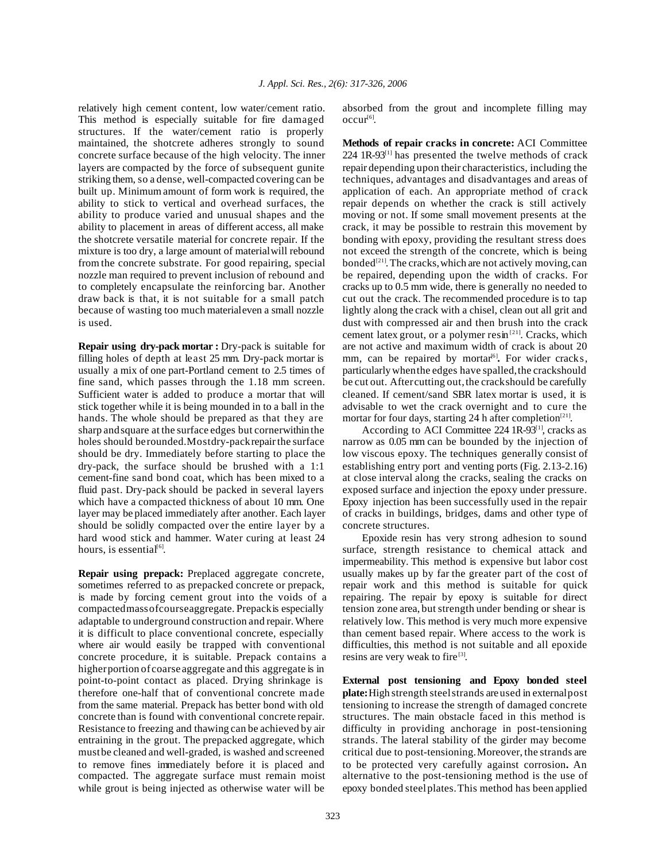relatively high cement content, low water/cement ratio. This method is especially suitable for fire damaged structures. If the water/cement ratio is properly maintained, the shotcrete adheres strongly to sound concrete surface because of the high velocity. The inner layers are compacted by the force of subsequent gunite striking them, so a dense, well-compacted covering can be built up. Minimum amount of form work is required, the ability to stick to vertical and overhead surfaces, the ability to produce varied and unusual shapes and the ability to placement in areas of different access, all make the shotcrete versatile material for concrete repair. If the mixture is too dry, a large amount of materialwill rebound from the concrete substrate. For good repairing, special nozzle man required to prevent inclusion of rebound and to completely encapsulate the reinforcing bar. Another draw back is that, it is not suitable for a small patch because of wasting too much materialeven a small nozzle is used.

**Repair using dry-pack mortar :** Dry-pack is suitable for filling holes of depth at least 25 mm. Dry-pack mortar is usually a mix of one part-Portland cement to 2.5 times of fine sand, which passes through the 1.18 mm screen. Sufficient water is added to produce a mortar that will stick together while it is being mounded in to a ball in the hands. The whole should be prepared as that they are sharp andsquare at the surface edges but cornerwithin the holes should berounded.Mostdry-packrepair the surface should be dry. Immediately before starting to place the dry-pack, the surface should be brushed with a 1:1 cement-fine sand bond coat, which has been mixed to a fluid past. Dry-pack should be packed in several layers which have a compacted thickness of about 10 mm. One layer may be placed immediately after another. Each layer should be solidly compacted over the entire layer by a hard wood stick and hammer. Water curing at least 24 hours, is essential<sup>[6]</sup>.

**Repair using prepack:** Preplaced aggregate concrete, sometimes referred to as prepacked concrete or prepack, is made by forcing cement grout into the voids of a compactedmassofcourseaggregate. Prepackis especially adaptable to underground construction and repair.Where it is difficult to place conventional concrete, especially where air would easily be trapped with conventional concrete procedure, it is suitable. Prepack contains a higherportion of coarse aggregate and this aggregate is in point-to-point contact as placed. Drying shrinkage is therefore one-half that of conventional concrete made from the same material. Prepack has better bond with old concrete than is found with conventional concrete repair. Resistance to freezing and thawing can be achieved by air entraining in the grout. The prepacked aggregate, which mustbe cleaned and well-graded, is washed and screened to remove fines immediately before it is placed and compacted. The aggregate surface must remain moist while grout is being injected as otherwise water will be

absorbed from the grout and incomplete filling may occur<sup>[6]</sup>.

**Methods of repair cracks in concrete:** ACI Committee  $224$  1R-93<sup>[1]</sup> has presented the twelve methods of crack repair depending upon their characteristics, including the techniques, advantages and disadvantages and areas of application of each. An appropriate method of crack repair depends on whether the crack is still actively moving or not. If some small movement presents at the crack, it may be possible to restrain this movement by bonding with epoxy, providing the resultant stress does not exceed the strength of the concrete, which is being bonded<sup>[21]</sup>. The cracks, which are not actively moving, can be repaired, depending upon the width of cracks. For cracks up to 0.5 mm wide, there is generally no needed to cut out the crack. The recommended procedure is to tap lightly along the crack with a chisel, clean out all grit and dust with compressed air and then brush into the crack cement latex grout, or a polymer resin<sup>[21]</sup>. Cracks, which are not active and maximum width of crack is about 20 mm, can be repaired by mortar<sup>[6]</sup>. For wider cracks, particularly whenthe edges have spalled,the crackshould be cut out. After cutting out, the crack should be carefully cleaned. If cement/sand SBR latex mortar is used, it is advisable to wet the crack overnight and to cure the mortar for four days, starting 24 h after completion<sup>[21]</sup>.

According to ACI Committee 224 1R-93<sup>[1]</sup>, cracks as narrow as 0.05 mm can be bounded by the injection of low viscous epoxy. The techniques generally consist of establishing entry port and venting ports (Fig. 2.13-2.16) at close interval along the cracks, sealing the cracks on exposed surface and injection the epoxy under pressure. Epoxy injection has been successfully used in the repair of cracks in buildings, bridges, dams and other type of concrete structures.

Epoxide resin has very strong adhesion to sound surface, strength resistance to chemical attack and impermeability. This method is expensive but labor cost usually makes up by far the greater part of the cost of repair work and this method is suitable for quick repairing. The repair by epoxy is suitable for direct tension zone area, but strength under bending or shear is relatively low. This method is very much more expensive than cement based repair. Where access to the work is difficulties, this method is not suitable and all epoxide resins are very weak to fire<sup>[3]</sup>.

**External post tensioning and Epoxy bonded steel plate:**High strength steelstrands are used in externalpost tensioning to increase the strength of damaged concrete structures. The main obstacle faced in this method is difficulty in providing anchorage in post-tensioning strands. The lateral stability of the girder may become critical due to post-tensioning.Moreover, the strands are to be protected very carefully against corrosion**.** An alternative to the post-tensioning method is the use of epoxy bonded steelplates.This method has been applied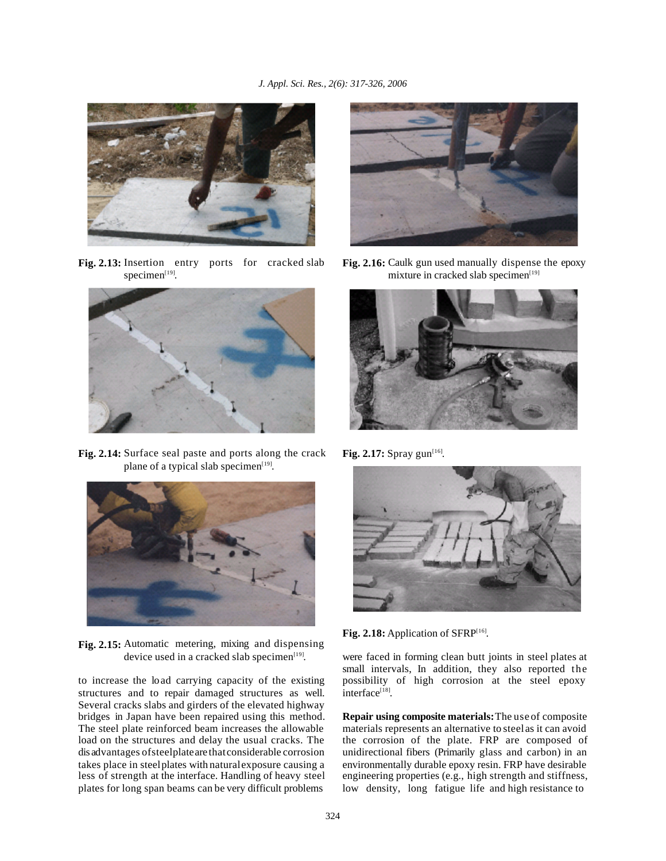

**Fig. 2.13:** Insertion entry ports for cracked slab specimen $[19]$ .



**Fig. 2.14:** Surface seal paste and ports along the crack plane of a typical slab specimen<sup>[19]</sup>.



**Fig. 2.15:** Automatic metering, mixing and dispensing device used in a cracked slab specimen<sup>[19]</sup>.

to increase the load carrying capacity of the existing structures and to repair damaged structures as well. Several cracks slabs and girders of the elevated highway bridges in Japan have been repaired using this method. The steel plate reinforced beam increases the allowable load on the structures and delay the usual cracks. The dis advantages ofsteelplateare thatconsiderable corrosion takes place in steelplates with naturalexposure causing a less of strength at the interface. Handling of heavy steel plates for long span beams can be very difficult problems



**Fig. 2.16:** Caulk gun used manually dispense the epoxy mixture in cracked slab specimen<sup>[19]</sup>



**Fig. 2.17:** Spray gun<sup>[16]</sup>.



Fig. 2.18: Application of SFRP<sup>[16]</sup>.

were faced in forming clean butt joints in steel plates at small intervals, In addition, they also reported the possibility of high corrosion at the steel epoxy interface<sup>[18]</sup>.

**Repair using composite materials:**The use of composite materials represents an alternative to steelas it can avoid the corrosion of the plate. FRP are composed of unidirectional fibers (Primarily glass and carbon) in an environmentally durable epoxy resin. FRP have desirable engineering properties (e.g., high strength and stiffness, low density, long fatigue life and high resistance to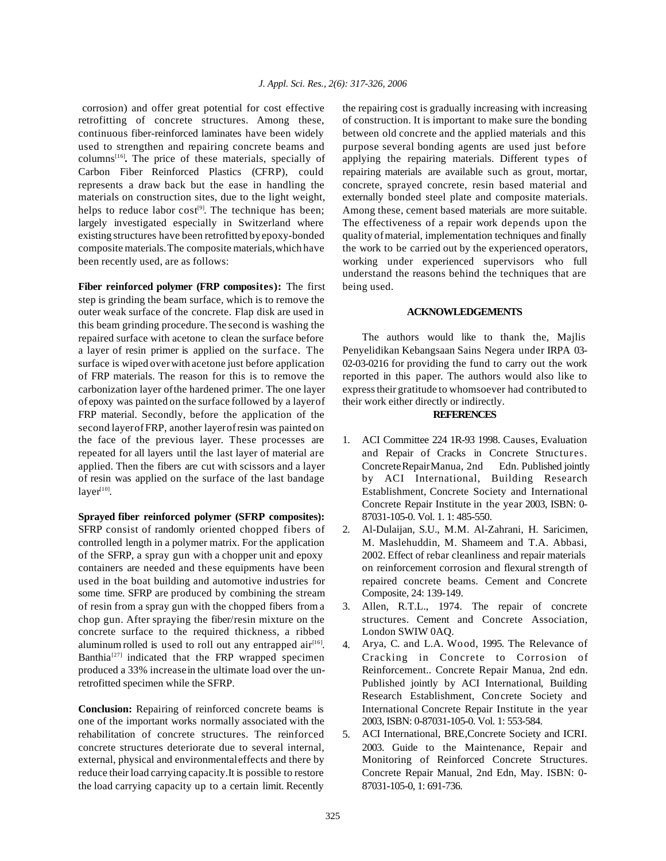corrosion) and offer great potential for cost effective retrofitting of concrete structures. Among these, continuous fiber-reinforced laminates have been widely used to strengthen and repairing concrete beams and columns[16] **.** The price of these materials, specially of Carbon Fiber Reinforced Plastics (CFRP), could represents a draw back but the ease in handling the materials on construction sites, due to the light weight, helps to reduce labor  $cost<sup>[9]</sup>$ . The technique has been; largely investigated especially in Switzerland where existing structures have been retrofitted byepoxy-bonded composite materials.The composite materials,which have been recently used, are as follows:

**Fiber reinforced polymer (FRP composites):** The first step is grinding the beam surface, which is to remove the outer weak surface of the concrete. Flap disk are used in this beam grinding procedure. The second is washing the repaired surface with acetone to clean the surface before a layer of resin primer is applied on the surface. The surface is wiped overwith acetone just before application of FRP materials. The reason for this is to remove the carbonization layer ofthe hardened primer. The one layer of epoxy was painted on the surface followed by a layerof FRP material. Secondly, before the application of the second layerofFRP, another layerofresin was painted on the face of the previous layer. These processes are repeated for all layers until the last layer of material are applied. Then the fibers are cut with scissors and a layer of resin was applied on the surface of the last bandage  $layer<sup>[10]</sup>$ .

**Sprayed fiber reinforced polymer (SFRP composites):** SFRP consist of randomly oriented chopped fibers of controlled length in a polymer matrix. For the application of the SFRP, a spray gun with a chopper unit and epoxy containers are needed and these equipments have been used in the boat building and automotive industries for some time. SFRP are produced by combining the stream of resin from a spray gun with the chopped fibers from a chop gun. After spraying the fiber/resin mixture on the concrete surface to the required thickness, a ribbed aluminum rolled is used to roll out any entrapped  $air^{[16]}$ . Banthia<sup>[27]</sup> indicated that the FRP wrapped specimen produced a 33% increasein the ultimate load over the unretrofitted specimen while the SFRP.

**Conclusion:** Repairing of reinforced concrete beams is one of the important works normally associated with the rehabilitation of concrete structures. The reinforced concrete structures deteriorate due to several internal, external, physical and environmentaleffects and there by reduce their load carrying capacity. It is possible to restore the load carrying capacity up to a certain limit. Recently

the repairing cost is gradually increasing with increasing of construction. It is important to make sure the bonding between old concrete and the applied materials and this purpose several bonding agents are used just before applying the repairing materials. Different types of repairing materials are available such as grout, mortar, concrete, sprayed concrete, resin based material and externally bonded steel plate and composite materials. Among these, cement based materials are more suitable. The effectiveness of a repair work depends upon the quality ofmaterial, implementation techniques and finally the work to be carried out by the experienced operators, working under experienced supervisors who full understand the reasons behind the techniques that are being used.

## **ACKNOWLEDGEMENTS**

The authors would like to thank the, Majlis Penyelidikan Kebangsaan Sains Negera under IRPA 03- 02-03-0216 for providing the fund to carry out the work reported in this paper. The authors would also like to expresstheir gratitude to whomsoever had contributed to their work either directly or indirectly.

## **REFERENCES**

- 1. ACI Committee 224 1R-93 1998. Causes, Evaluation and Repair of Cracks in Concrete Structures. ConcreteRepairManua, 2nd Edn. Published jointly by ACI International, Building Research Establishment, Concrete Society and International Concrete Repair Institute in the year 2003, ISBN: 0- 87031-105-0. Vol. 1. 1: 485-550.
- 2. Al-Dulaijan, S.U., M.M. Al-Zahrani, H. Saricimen, M. Maslehuddin, M. Shameem and T.A. Abbasi, 2002. Effect of rebar cleanliness and repair materials on reinforcement corrosion and flexural strength of repaired concrete beams. Cement and Concrete Composite, 24: 139-149.
- 3. Allen, R.T.L., 1974. The repair of concrete structures. Cement and Concrete Association, London SWIW 0AQ.
- 4. Arya, C. and L.A. Wood, 1995. The Relevance of Cracking in Concrete to Corrosion of Reinforcement.. Concrete Repair Manua, 2nd edn. Published jointly by ACI International, Building Research Establishment, Concrete Society and International Concrete Repair Institute in the year 2003, ISBN: 0-87031-105-0. Vol. 1: 553-584.
- 5. ACI International, BRE,Concrete Society and ICRI. 2003. Guide to the Maintenance, Repair and Monitoring of Reinforced Concrete Structures. Concrete Repair Manual, 2nd Edn, May. ISBN: 0- 87031-105-0, 1: 691-736.